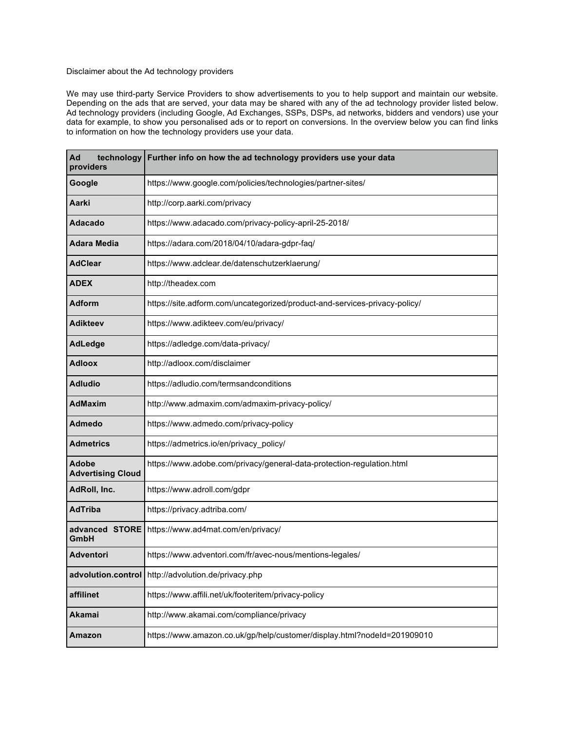## Disclaimer about the Ad technology providers

We may use third-party Service Providers to show advertisements to you to help support and maintain our website. Depending on the ads that are served, your data may be shared with any of the ad technology provider listed below. Ad technology providers (including Google, Ad Exchanges, SSPs, DSPs, ad networks, bidders and vendors) use your data for example, to show you personalised ads or to report on conversions. In the overview below you can find links to information on how the technology providers use your data.

| technology<br>Ad<br>providers            | Further info on how the ad technology providers use your data              |
|------------------------------------------|----------------------------------------------------------------------------|
| Google                                   | https://www.google.com/policies/technologies/partner-sites/                |
| Aarki                                    | http://corp.aarki.com/privacy                                              |
| <b>Adacado</b>                           | https://www.adacado.com/privacy-policy-april-25-2018/                      |
| <b>Adara Media</b>                       | https://adara.com/2018/04/10/adara-gdpr-faq/                               |
| <b>AdClear</b>                           | https://www.adclear.de/datenschutzerklaerung/                              |
| <b>ADEX</b>                              | http://theadex.com                                                         |
| <b>Adform</b>                            | https://site.adform.com/uncategorized/product-and-services-privacy-policy/ |
| <b>Adikteev</b>                          | https://www.adikteev.com/eu/privacy/                                       |
| <b>AdLedge</b>                           | https://adledge.com/data-privacy/                                          |
| <b>Adloox</b>                            | http://adloox.com/disclaimer                                               |
| <b>Adludio</b>                           | https://adludio.com/termsandconditions                                     |
| <b>AdMaxim</b>                           | http://www.admaxim.com/admaxim-privacy-policy/                             |
| Admedo                                   | https://www.admedo.com/privacy-policy                                      |
| <b>Admetrics</b>                         | https://admetrics.io/en/privacy_policy/                                    |
| <b>Adobe</b><br><b>Advertising Cloud</b> | https://www.adobe.com/privacy/general-data-protection-regulation.html      |
| AdRoll, Inc.                             | https://www.adroll.com/gdpr                                                |
| <b>AdTriba</b>                           | https://privacy.adtriba.com/                                               |
| advanced STORE<br>GmbH                   | https://www.ad4mat.com/en/privacy/                                         |
| <b>Adventori</b>                         | https://www.adventori.com/fr/avec-nous/mentions-legales/                   |
|                                          | advolution.control http://advolution.de/privacy.php                        |
| affilinet                                | https://www.affili.net/uk/footeritem/privacy-policy                        |
| Akamai                                   | http://www.akamai.com/compliance/privacy                                   |
| <b>Amazon</b>                            | https://www.amazon.co.uk/gp/help/customer/display.html?nodeId=201909010    |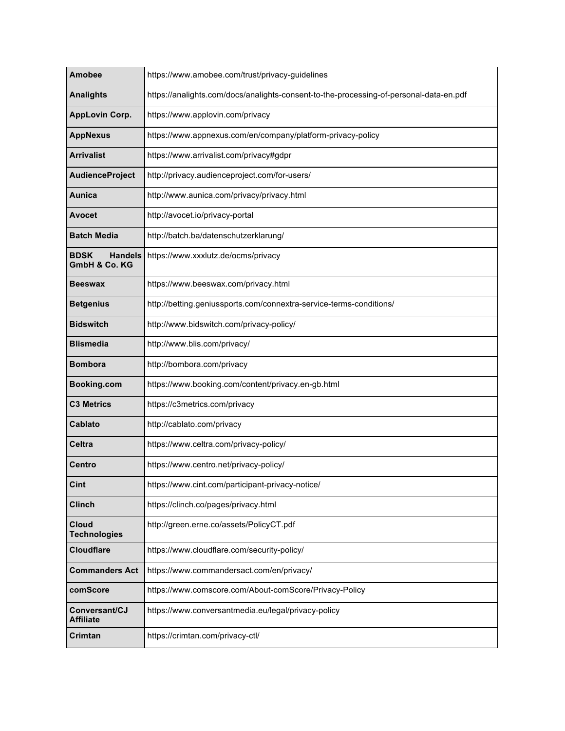| <b>Amobee</b>                                  | https://www.amobee.com/trust/privacy-guidelines                                        |
|------------------------------------------------|----------------------------------------------------------------------------------------|
| <b>Analights</b>                               | https://analights.com/docs/analights-consent-to-the-processing-of-personal-data-en.pdf |
| <b>AppLovin Corp.</b>                          | https://www.applovin.com/privacy                                                       |
| <b>AppNexus</b>                                | https://www.appnexus.com/en/company/platform-privacy-policy                            |
| <b>Arrivalist</b>                              | https://www.arrivalist.com/privacy#gdpr                                                |
| AudienceProject                                | http://privacy.audienceproject.com/for-users/                                          |
| Aunica                                         | http://www.aunica.com/privacy/privacy.html                                             |
| <b>Avocet</b>                                  | http://avocet.io/privacy-portal                                                        |
| <b>Batch Media</b>                             | http://batch.ba/datenschutzerklarung/                                                  |
| <b>BDSK</b><br><b>Handels</b><br>GmbH & Co. KG | https://www.xxxlutz.de/ocms/privacy                                                    |
| <b>Beeswax</b>                                 | https://www.beeswax.com/privacy.html                                                   |
| <b>Betgenius</b>                               | http://betting.geniussports.com/connextra-service-terms-conditions/                    |
| <b>Bidswitch</b>                               | http://www.bidswitch.com/privacy-policy/                                               |
| <b>Blismedia</b>                               | http://www.blis.com/privacy/                                                           |
| <b>Bombora</b>                                 | http://bombora.com/privacy                                                             |
| Booking.com                                    | https://www.booking.com/content/privacy.en-gb.html                                     |
| <b>C3 Metrics</b>                              | https://c3metrics.com/privacy                                                          |
| <b>Cablato</b>                                 | http://cablato.com/privacy                                                             |
| <b>Celtra</b>                                  | https://www.celtra.com/privacy-policy/                                                 |
| Centro                                         | https://www.centro.net/privacy-policy/                                                 |
| Cint                                           | https://www.cint.com/participant-privacy-notice/                                       |
| <b>Clinch</b>                                  | https://clinch.co/pages/privacy.html                                                   |
| <b>Cloud</b><br><b>Technologies</b>            | http://green.erne.co/assets/PolicyCT.pdf                                               |
| <b>Cloudflare</b>                              | https://www.cloudflare.com/security-policy/                                            |
| <b>Commanders Act</b>                          | https://www.commandersact.com/en/privacy/                                              |
| comScore                                       | https://www.comscore.com/About-comScore/Privacy-Policy                                 |
| Conversant/CJ<br>Affiliate                     | https://www.conversantmedia.eu/legal/privacy-policy                                    |
| Crimtan                                        | https://crimtan.com/privacy-ctl/                                                       |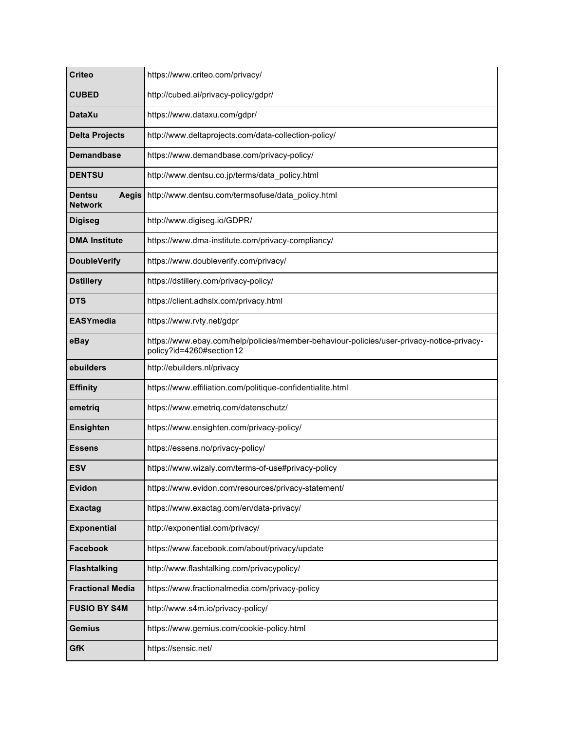| <b>Criteo</b>                     | https://www.criteo.com/privacy/                                                                                       |
|-----------------------------------|-----------------------------------------------------------------------------------------------------------------------|
| <b>CUBED</b>                      | http://cubed.ai/privacy-policy/gdpr/                                                                                  |
| <b>DataXu</b>                     | https://www.dataxu.com/gdpr/                                                                                          |
| <b>Delta Projects</b>             | http://www.deltaprojects.com/data-collection-policy/                                                                  |
| <b>Demandbase</b>                 | https://www.demandbase.com/privacy-policy/                                                                            |
| <b>DENTSU</b>                     | http://www.dentsu.co.jp/terms/data_policy.html                                                                        |
| Aegis<br>Dentsu<br><b>Network</b> | http://www.dentsu.com/termsofuse/data_policy.html                                                                     |
| <b>Digiseg</b>                    | http://www.digiseg.io/GDPR/                                                                                           |
| <b>DMA Institute</b>              | https://www.dma-institute.com/privacy-compliancy/                                                                     |
| <b>DoubleVerify</b>               | https://www.doubleverify.com/privacy/                                                                                 |
| <b>Dstillery</b>                  | https://dstillery.com/privacy-policy/                                                                                 |
| <b>DTS</b>                        | https://client.adhslx.com/privacy.html                                                                                |
| <b>EASYmedia</b>                  | https://www.rvty.net/gdpr                                                                                             |
| eBay                              | https://www.ebay.com/help/policies/member-behaviour-policies/user-privacy-notice-privacy-<br>policy?id=4260#section12 |
| ebuilders                         | http://ebuilders.nl/privacy                                                                                           |
| <b>Effinity</b>                   | https://www.effiliation.com/politique-confidentialite.html                                                            |
| emetriq                           | https://www.emetriq.com/datenschutz/                                                                                  |
| <b>Ensighten</b>                  | https://www.ensighten.com/privacy-policy/                                                                             |
| <b>Essens</b>                     | https://essens.no/privacy-policy/                                                                                     |
| ESV                               | https://www.wizaly.com/terms-of-use#privacy-policy                                                                    |
| Evidon                            | https://www.evidon.com/resources/privacy-statement/                                                                   |
| <b>Exactag</b>                    | https://www.exactag.com/en/data-privacy/                                                                              |
| <b>Exponential</b>                | http://exponential.com/privacy/                                                                                       |
| Facebook                          | https://www.facebook.com/about/privacy/update                                                                         |
| <b>Flashtalking</b>               | http://www.flashtalking.com/privacypolicy/                                                                            |
| <b>Fractional Media</b>           | https://www.fractionalmedia.com/privacy-policy                                                                        |
| <b>FUSIO BY S4M</b>               | http://www.s4m.io/privacy-policy/                                                                                     |
| <b>Gemius</b>                     | https://www.gemius.com/cookie-policy.html                                                                             |
| <b>GfK</b>                        | https://sensic.net/                                                                                                   |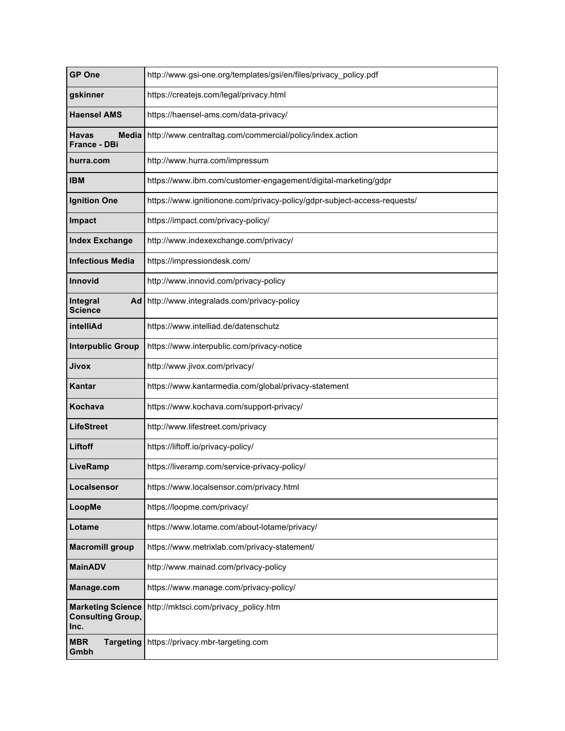| <b>GP One</b>                                                | http://www.gsi-one.org/templates/gsi/en/files/privacy_policy.pdf         |
|--------------------------------------------------------------|--------------------------------------------------------------------------|
| gskinner                                                     | https://createjs.com/legal/privacy.html                                  |
| <b>Haensel AMS</b>                                           | https://haensel-ams.com/data-privacy/                                    |
| Havas<br>Media<br>France - DBi                               | http://www.centraltag.com/commercial/policy/index.action                 |
| hurra.com                                                    | http://www.hurra.com/impressum                                           |
| IBM                                                          | https://www.ibm.com/customer-engagement/digital-marketing/gdpr           |
| <b>Ignition One</b>                                          | https://www.ignitionone.com/privacy-policy/gdpr-subject-access-requests/ |
| <b>Impact</b>                                                | https://impact.com/privacy-policy/                                       |
| <b>Index Exchange</b>                                        | http://www.indexexchange.com/privacy/                                    |
| <b>Infectious Media</b>                                      | https://impressiondesk.com/                                              |
| Innovid                                                      | http://www.innovid.com/privacy-policy                                    |
| Integral<br>Ad  <br><b>Science</b>                           | http://www.integralads.com/privacy-policy                                |
| intelliAd                                                    | https://www.intelliad.de/datenschutz                                     |
| <b>Interpublic Group</b>                                     | https://www.interpublic.com/privacy-notice                               |
| Jivox                                                        | http://www.jivox.com/privacy/                                            |
| Kantar                                                       | https://www.kantarmedia.com/global/privacy-statement                     |
| Kochava                                                      | https://www.kochava.com/support-privacy/                                 |
| <b>LifeStreet</b>                                            | http://www.lifestreet.com/privacy                                        |
| Liftoff                                                      | https://liftoff.io/privacy-policy/                                       |
| LiveRamp                                                     | https://liveramp.com/service-privacy-policy/                             |
| Localsensor                                                  | https://www.localsensor.com/privacy.html                                 |
| LoopMe                                                       | https://loopme.com/privacy/                                              |
| Lotame                                                       | https://www.lotame.com/about-lotame/privacy/                             |
| <b>Macromill group</b>                                       | https://www.metrixlab.com/privacy-statement/                             |
| <b>MainADV</b>                                               | http://www.mainad.com/privacy-policy                                     |
| Manage.com                                                   | https://www.manage.com/privacy-policy/                                   |
| <b>Marketing Science</b><br><b>Consulting Group,</b><br>Inc. | http://mktsci.com/privacy_policy.htm                                     |
| <b>MBR</b><br><b>Targeting</b><br>Gmbh                       | https://privacy.mbr-targeting.com                                        |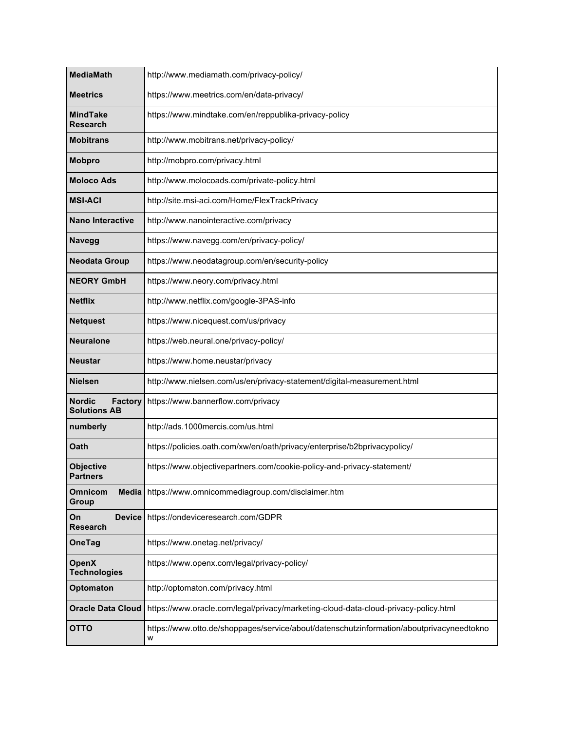| <b>MediaMath</b>                                       | http://www.mediamath.com/privacy-policy/                                                      |
|--------------------------------------------------------|-----------------------------------------------------------------------------------------------|
| Meetrics                                               | https://www.meetrics.com/en/data-privacy/                                                     |
| MindTake<br><b>Research</b>                            | https://www.mindtake.com/en/reppublika-privacy-policy                                         |
| <b>Mobitrans</b>                                       | http://www.mobitrans.net/privacy-policy/                                                      |
| <b>Mobpro</b>                                          | http://mobpro.com/privacy.html                                                                |
| <b>Moloco Ads</b>                                      | http://www.molocoads.com/private-policy.html                                                  |
| <b>MSI-ACI</b>                                         | http://site.msi-aci.com/Home/FlexTrackPrivacy                                                 |
| <b>Nano Interactive</b>                                | http://www.nanointeractive.com/privacy                                                        |
| <b>Navegg</b>                                          | https://www.navegg.com/en/privacy-policy/                                                     |
| <b>Neodata Group</b>                                   | https://www.neodatagroup.com/en/security-policy                                               |
| <b>NEORY GmbH</b>                                      | https://www.neory.com/privacy.html                                                            |
| <b>Netflix</b>                                         | http://www.netflix.com/google-3PAS-info                                                       |
| <b>Netquest</b>                                        | https://www.nicequest.com/us/privacy                                                          |
| <b>Neuralone</b>                                       | https://web.neural.one/privacy-policy/                                                        |
| Neustar                                                | https://www.home.neustar/privacy                                                              |
| <b>Nielsen</b>                                         | http://www.nielsen.com/us/en/privacy-statement/digital-measurement.html                       |
| <b>Nordic</b><br><b>Factory</b><br><b>Solutions AB</b> | https://www.bannerflow.com/privacy                                                            |
| numberly                                               | http://ads.1000mercis.com/us.html                                                             |
| Oath                                                   | https://policies.oath.com/xw/en/oath/privacy/enterprise/b2bprivacypolicy/                     |
| <b>Objective</b><br><b>Partners</b>                    | https://www.objectivepartners.com/cookie-policy-and-privacy-statement/                        |
| <b>Omnicom</b><br>Media<br>Group                       | https://www.omnicommediagroup.com/disclaimer.htm                                              |
| On<br><b>Device</b><br>Research                        | https://ondeviceresearch.com/GDPR                                                             |
| OneTag                                                 | https://www.onetag.net/privacy/                                                               |
| <b>OpenX</b><br><b>Technologies</b>                    | https://www.openx.com/legal/privacy-policy/                                                   |
| Optomaton                                              | http://optomaton.com/privacy.html                                                             |
| <b>Oracle Data Cloud</b>                               | https://www.oracle.com/legal/privacy/marketing-cloud-data-cloud-privacy-policy.html           |
| <b>OTTO</b>                                            | https://www.otto.de/shoppages/service/about/datenschutzinformation/aboutprivacyneedtokno<br>W |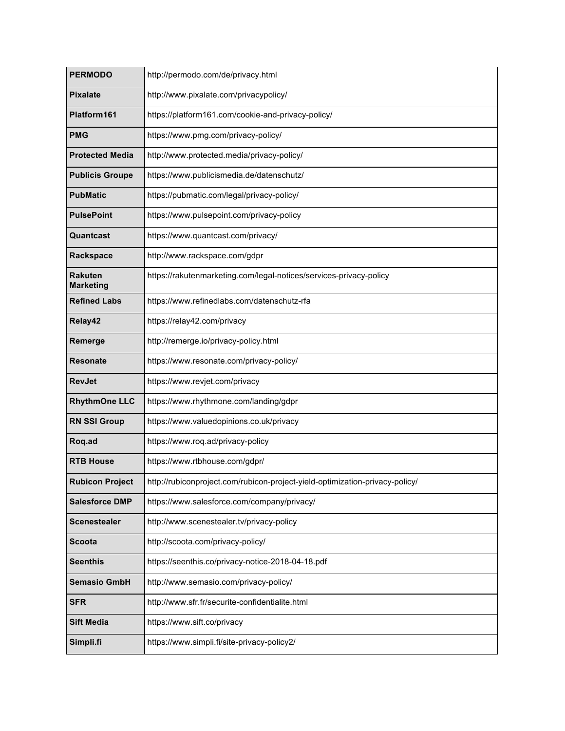| <b>PERMODO</b>              | http://permodo.com/de/privacy.html                                           |
|-----------------------------|------------------------------------------------------------------------------|
| <b>Pixalate</b>             | http://www.pixalate.com/privacypolicy/                                       |
| Platform161                 | https://platform161.com/cookie-and-privacy-policy/                           |
| <b>PMG</b>                  | https://www.pmg.com/privacy-policy/                                          |
| <b>Protected Media</b>      | http://www.protected.media/privacy-policy/                                   |
| <b>Publicis Groupe</b>      | https://www.publicismedia.de/datenschutz/                                    |
| <b>PubMatic</b>             | https://pubmatic.com/legal/privacy-policy/                                   |
| <b>PulsePoint</b>           | https://www.pulsepoint.com/privacy-policy                                    |
| Quantcast                   | https://www.quantcast.com/privacy/                                           |
| Rackspace                   | http://www.rackspace.com/gdpr                                                |
| Rakuten<br><b>Marketing</b> | https://rakutenmarketing.com/legal-notices/services-privacy-policy           |
| <b>Refined Labs</b>         | https://www.refinedlabs.com/datenschutz-rfa                                  |
| Relay42                     | https://relay42.com/privacy                                                  |
| Remerge                     | http://remerge.io/privacy-policy.html                                        |
| <b>Resonate</b>             | https://www.resonate.com/privacy-policy/                                     |
| <b>RevJet</b>               | https://www.revjet.com/privacy                                               |
| <b>RhythmOne LLC</b>        | https://www.rhythmone.com/landing/gdpr                                       |
| <b>RN SSI Group</b>         | https://www.valuedopinions.co.uk/privacy                                     |
| Roq.ad                      | https://www.roq.ad/privacy-policy                                            |
| <b>RTB House</b>            | https://www.rtbhouse.com/gdpr/                                               |
| <b>Rubicon Project</b>      | http://rubiconproject.com/rubicon-project-yield-optimization-privacy-policy/ |
| <b>Salesforce DMP</b>       | https://www.salesforce.com/company/privacy/                                  |
| <b>Scenestealer</b>         | http://www.scenestealer.tv/privacy-policy                                    |
| <b>Scoota</b>               | http://scoota.com/privacy-policy/                                            |
| <b>Seenthis</b>             | https://seenthis.co/privacy-notice-2018-04-18.pdf                            |
| <b>Semasio GmbH</b>         | http://www.semasio.com/privacy-policy/                                       |
| <b>SFR</b>                  | http://www.sfr.fr/securite-confidentialite.html                              |
| <b>Sift Media</b>           | https://www.sift.co/privacy                                                  |
| Simpli.fi                   | https://www.simpli.fi/site-privacy-policy2/                                  |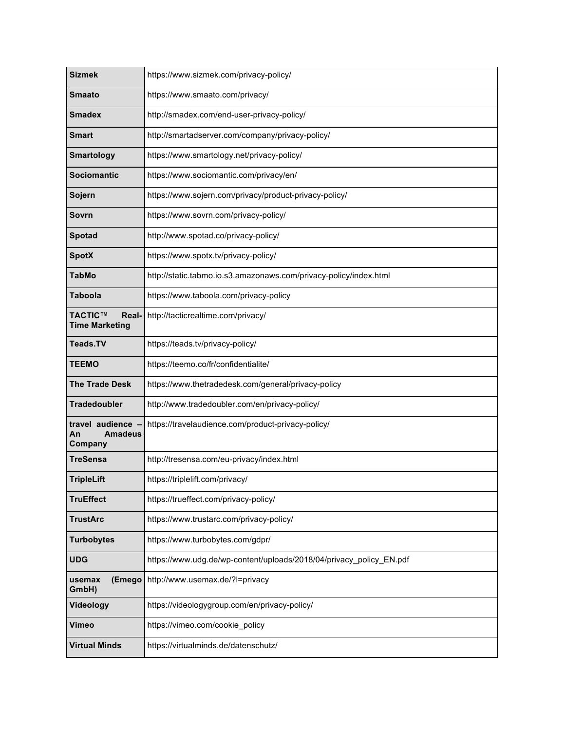| <b>Sizmek</b>                                        | https://www.sizmek.com/privacy-policy/                              |
|------------------------------------------------------|---------------------------------------------------------------------|
| <b>Smaato</b>                                        | https://www.smaato.com/privacy/                                     |
| <b>Smadex</b>                                        | http://smadex.com/end-user-privacy-policy/                          |
| Smart                                                | http://smartadserver.com/company/privacy-policy/                    |
| <b>Smartology</b>                                    | https://www.smartology.net/privacy-policy/                          |
| <b>Sociomantic</b>                                   | https://www.sociomantic.com/privacy/en/                             |
| Sojern                                               | https://www.sojern.com/privacy/product-privacy-policy/              |
| Sovrn                                                | https://www.sovrn.com/privacy-policy/                               |
| Spotad                                               | http://www.spotad.co/privacy-policy/                                |
| <b>SpotX</b>                                         | https://www.spotx.tv/privacy-policy/                                |
| <b>TabMo</b>                                         | http://static.tabmo.io.s3.amazonaws.com/privacy-policy/index.html   |
| <b>Taboola</b>                                       | https://www.taboola.com/privacy-policy                              |
| <b>TACTIC™</b><br>Real-<br><b>Time Marketing</b>     | http://tacticrealtime.com/privacy/                                  |
| Teads.TV                                             | https://teads.tv/privacy-policy/                                    |
| <b>TEEMO</b>                                         | https://teemo.co/fr/confidentialite/                                |
| <b>The Trade Desk</b>                                | https://www.thetradedesk.com/general/privacy-policy                 |
| <b>Tradedoubler</b>                                  | http://www.tradedoubler.com/en/privacy-policy/                      |
| travel audience -<br><b>Amadeus</b><br>An<br>Company | https://travelaudience.com/product-privacy-policy/                  |
| TreSensa                                             | http://tresensa.com/eu-privacy/index.html                           |
| <b>TripleLift</b>                                    | https://triplelift.com/privacy/                                     |
| <b>TruEffect</b>                                     | https://trueffect.com/privacy-policy/                               |
| <b>TrustArc</b>                                      | https://www.trustarc.com/privacy-policy/                            |
| <b>Turbobytes</b>                                    | https://www.turbobytes.com/gdpr/                                    |
| <b>UDG</b>                                           | https://www.udg.de/wp-content/uploads/2018/04/privacy_policy_EN.pdf |
| (Emego<br>usemax<br>GmbH)                            | http://www.usemax.de/?l=privacy                                     |
| Videology                                            | https://videologygroup.com/en/privacy-policy/                       |
| Vimeo                                                | https://vimeo.com/cookie_policy                                     |
| <b>Virtual Minds</b>                                 | https://virtualminds.de/datenschutz/                                |